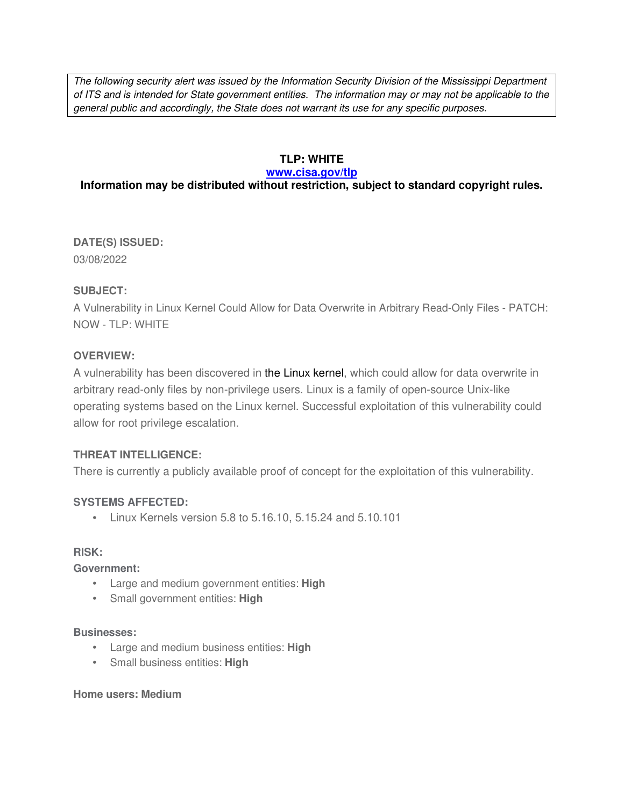The following security alert was issued by the Information Security Division of the Mississippi Department of ITS and is intended for State government entities. The information may or may not be applicable to the general public and accordingly, the State does not warrant its use for any specific purposes.

#### **TLP: WHITE**

#### **www.cisa.gov/tlp**

# **Information may be distributed without restriction, subject to standard copyright rules.**

**DATE(S) ISSUED:** 03/08/2022

#### **SUBJECT:**

A Vulnerability in Linux Kernel Could Allow for Data Overwrite in Arbitrary Read-Only Files - PATCH: NOW - TLP: WHITE

# **OVERVIEW:**

A vulnerability has been discovered in the Linux kernel, which could allow for data overwrite in arbitrary read-only files by non-privilege users. Linux is a family of open-source Unix-like operating systems based on the Linux kernel. Successful exploitation of this vulnerability could allow for root privilege escalation.

#### **THREAT INTELLIGENCE:**

There is currently a publicly available proof of concept for the exploitation of this vulnerability.

#### **SYSTEMS AFFECTED:**

 $\bullet$  Linux Kernels version 5.8 to 5.16.10, 5.15.24 and 5.10.101

#### **RISK:**

**Government:**

- Large and medium government entities: **High**
- Small government entities: **High**

#### **Businesses:**

- Large and medium business entities: **High**
- Small business entities: **High**

#### **Home users: Medium**